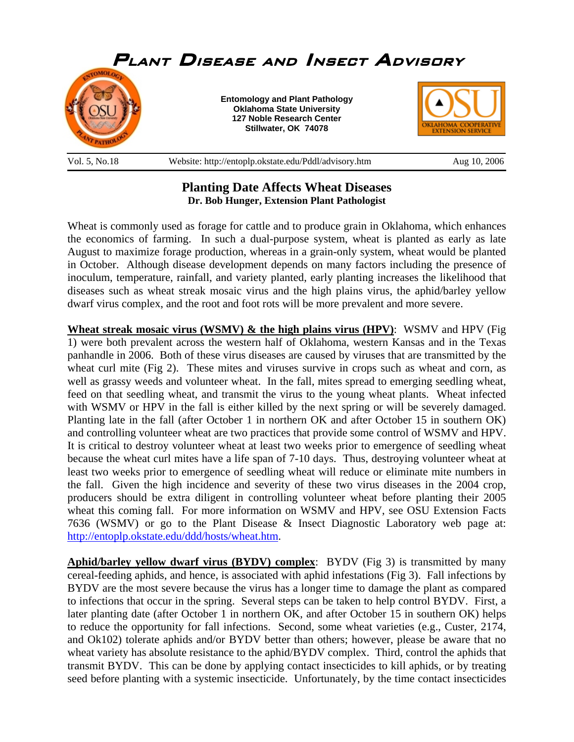

## **Planting Date Affects Wheat Diseases Dr. Bob Hunger, Extension Plant Pathologist**

Wheat is commonly used as forage for cattle and to produce grain in Oklahoma, which enhances the economics of farming. In such a dual-purpose system, wheat is planted as early as late August to maximize forage production, whereas in a grain-only system, wheat would be planted in October. Although disease development depends on many factors including the presence of inoculum, temperature, rainfall, and variety planted, early planting increases the likelihood that diseases such as wheat streak mosaic virus and the high plains virus, the aphid/barley yellow dwarf virus complex, and the root and foot rots will be more prevalent and more severe.

**Wheat streak mosaic virus (WSMV) & the high plains virus (HPV)**: WSMV and HPV (Fig 1) were both prevalent across the western half of Oklahoma, western Kansas and in the Texas panhandle in 2006. Both of these virus diseases are caused by viruses that are transmitted by the wheat curl mite (Fig 2). These mites and viruses survive in crops such as wheat and corn, as well as grassy weeds and volunteer wheat. In the fall, mites spread to emerging seedling wheat, feed on that seedling wheat, and transmit the virus to the young wheat plants. Wheat infected with WSMV or HPV in the fall is either killed by the next spring or will be severely damaged. Planting late in the fall (after October 1 in northern OK and after October 15 in southern OK) and controlling volunteer wheat are two practices that provide some control of WSMV and HPV. It is critical to destroy volunteer wheat at least two weeks prior to emergence of seedling wheat because the wheat curl mites have a life span of 7-10 days. Thus, destroying volunteer wheat at least two weeks prior to emergence of seedling wheat will reduce or eliminate mite numbers in the fall. Given the high incidence and severity of these two virus diseases in the 2004 crop, producers should be extra diligent in controlling volunteer wheat before planting their 2005 wheat this coming fall. For more information on WSMV and HPV, see OSU Extension Facts 7636 (WSMV) or go to the Plant Disease & Insect Diagnostic Laboratory web page at: http://entoplp.okstate.edu/ddd/hosts/wheat.htm.

**Aphid/barley yellow dwarf virus (BYDV) complex**: BYDV (Fig 3) is transmitted by many cereal-feeding aphids, and hence, is associated with aphid infestations (Fig 3). Fall infections by BYDV are the most severe because the virus has a longer time to damage the plant as compared to infections that occur in the spring. Several steps can be taken to help control BYDV. First, a later planting date (after October 1 in northern OK, and after October 15 in southern OK) helps to reduce the opportunity for fall infections. Second, some wheat varieties (e.g., Custer, 2174, and Ok102) tolerate aphids and/or BYDV better than others; however, please be aware that no wheat variety has absolute resistance to the aphid/BYDV complex. Third, control the aphids that transmit BYDV. This can be done by applying contact insecticides to kill aphids, or by treating seed before planting with a systemic insecticide. Unfortunately, by the time contact insecticides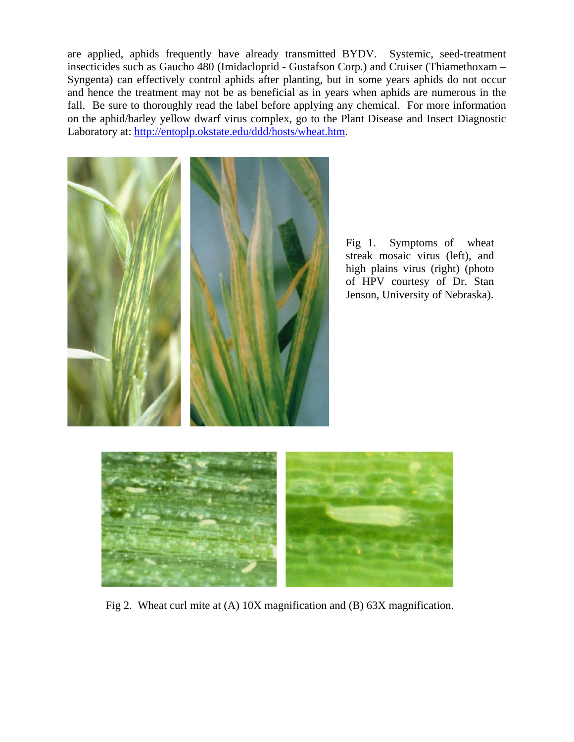are applied, aphids frequently have already transmitted BYDV. Systemic, seed-treatment insecticides such as Gaucho 480 (Imidacloprid - Gustafson Corp.) and Cruiser (Thiamethoxam – Syngenta) can effectively control aphids after planting, but in some years aphids do not occur and hence the treatment may not be as beneficial as in years when aphids are numerous in the fall. Be sure to thoroughly read the label before applying any chemical. For more information on the aphid/barley yellow dwarf virus complex, go to the Plant Disease and Insect Diagnostic Laboratory at: http://entoplp.okstate.edu/ddd/hosts/wheat.htm.



Fig 2. Wheat curl mite at (A) 10X magnification and (B) 63X magnification.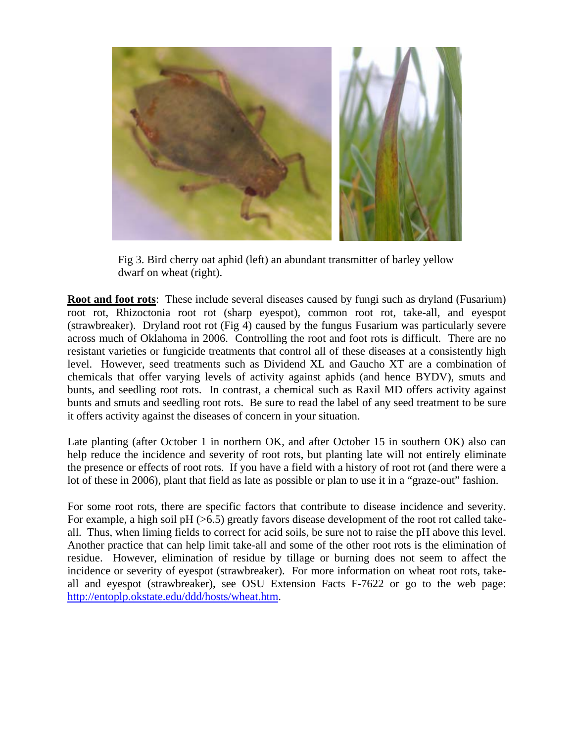

Fig 3. Bird cherry oat aphid (left) an abundant transmitter of barley yellow dwarf on wheat (right).

**Root and foot rots**: These include several diseases caused by fungi such as dryland (Fusarium) root rot, Rhizoctonia root rot (sharp eyespot), common root rot, take-all, and eyespot (strawbreaker). Dryland root rot (Fig 4) caused by the fungus Fusarium was particularly severe across much of Oklahoma in 2006. Controlling the root and foot rots is difficult. There are no resistant varieties or fungicide treatments that control all of these diseases at a consistently high level. However, seed treatments such as Dividend XL and Gaucho XT are a combination of chemicals that offer varying levels of activity against aphids (and hence BYDV), smuts and bunts, and seedling root rots. In contrast, a chemical such as Raxil MD offers activity against bunts and smuts and seedling root rots. Be sure to read the label of any seed treatment to be sure it offers activity against the diseases of concern in your situation.

Late planting (after October 1 in northern OK, and after October 15 in southern OK) also can help reduce the incidence and severity of root rots, but planting late will not entirely eliminate the presence or effects of root rots. If you have a field with a history of root rot (and there were a lot of these in 2006), plant that field as late as possible or plan to use it in a "graze-out" fashion.

For some root rots, there are specific factors that contribute to disease incidence and severity. For example, a high soil pH  $(>6.5)$  greatly favors disease development of the root rot called takeall. Thus, when liming fields to correct for acid soils, be sure not to raise the pH above this level. Another practice that can help limit take-all and some of the other root rots is the elimination of residue. However, elimination of residue by tillage or burning does not seem to affect the incidence or severity of eyespot (strawbreaker). For more information on wheat root rots, takeall and eyespot (strawbreaker), see OSU Extension Facts F-7622 or go to the web page: http://entoplp.okstate.edu/ddd/hosts/wheat.htm.